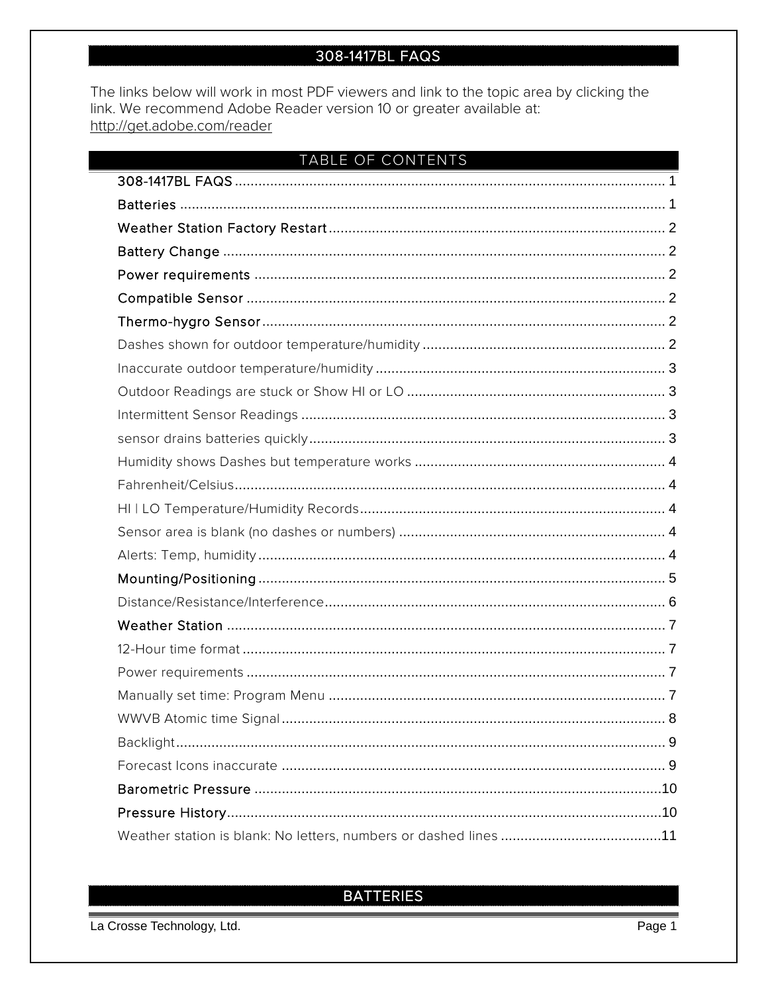# 308-1417BL FAQS

<span id="page-0-0"></span>The links below will work in most PDF viewers and link to the topic area by clicking the link. We recommend Adobe Reader version 10 or greater available at: http://get.adobe.com/reader

| TABLE OF CONTENTS |
|-------------------|
|                   |
|                   |
|                   |
|                   |
|                   |
|                   |
|                   |
|                   |
|                   |
|                   |
|                   |
|                   |
|                   |
|                   |
|                   |
|                   |
|                   |
|                   |
|                   |
|                   |
|                   |
|                   |
|                   |
|                   |
|                   |
|                   |
|                   |
|                   |
|                   |

# <span id="page-0-1"></span>**BATTERIES**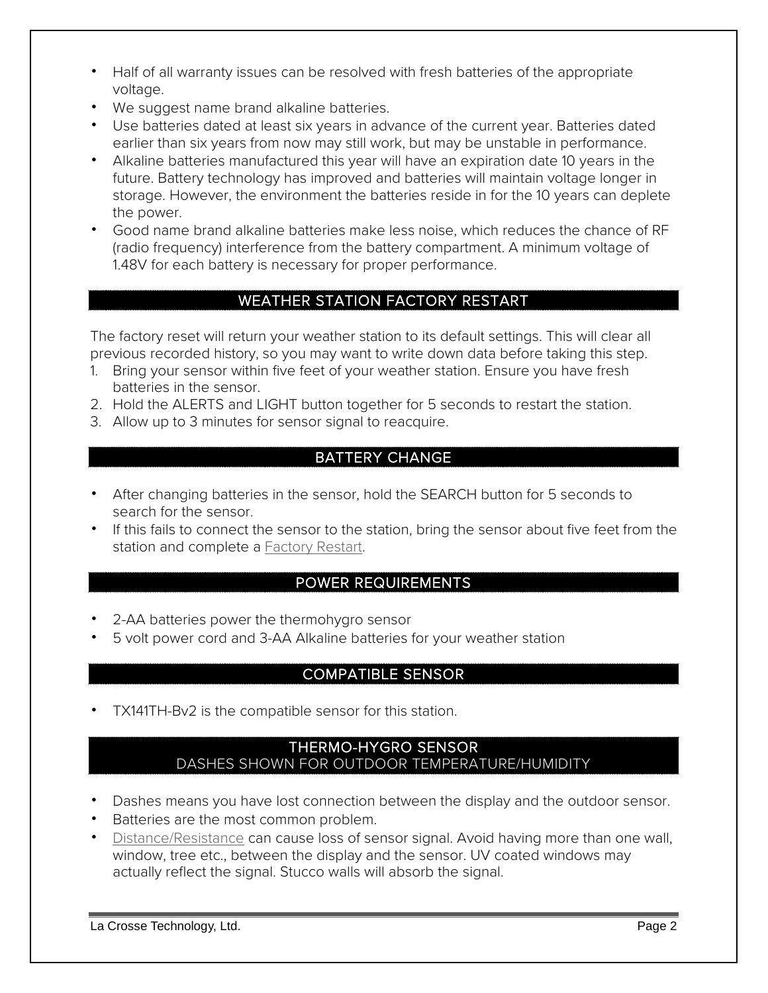- Half of all warranty issues can be resolved with fresh batteries of the appropriate voltage.
- We suggest name brand alkaline batteries.
- Use batteries dated at least six years in advance of the current year. Batteries dated earlier than six years from now may still work, but may be unstable in performance.
- Alkaline batteries manufactured this year will have an expiration date 10 years in the future. Battery technology has improved and batteries will maintain voltage longer in storage. However, the environment the batteries reside in for the 10 years can deplete the power.
- Good name brand alkaline batteries make less noise, which reduces the chance of RF (radio frequency) interference from the battery compartment. A minimum voltage of 1.48V for each battery is necessary for proper performance.

# WEATHER STATION FACTORY RESTART

<span id="page-1-0"></span>The factory reset will return your weather station to its default settings. This will clear all previous recorded history, so you may want to write down data before taking this step.

- 1. Bring your sensor within five feet of your weather station. Ensure you have fresh batteries in the sensor.
- 2. Hold the ALERTS and LIGHT button together for 5 seconds to restart the station.
- <span id="page-1-1"></span>3. Allow up to 3 minutes for sensor signal to reacquire.

## BATTERY CHANGE

- After changing batteries in the sensor, hold the SEARCH button for 5 seconds to search for the sensor.
- If this fails to connect the sensor to the station, bring the sensor about five feet from the station and complete a [Factory Restart.](#page-1-0)

## POWER REQUIREMENTS

- <span id="page-1-2"></span>• 2-AA batteries power the thermohygro sensor
- <span id="page-1-3"></span>• 5 volt power cord and 3-AA Alkaline batteries for your weather station

## COMPATIBLE SENSOR

<span id="page-1-4"></span>• TX141TH-Bv2 is the compatible sensor for this station.

#### THERMO-HYGRO SENSOR DASHES SHOWN FOR OUTDOOR TEMPERATURE/HUMIDITY

- <span id="page-1-5"></span>• Dashes means you have lost connection between the display and the outdoor sensor.
- Batteries are the most common problem.
- [Distance/Resistance](#page-5-0) can cause loss of sensor signal. Avoid having more than one wall, window, tree etc., between the display and the sensor. UV coated windows may actually reflect the signal. Stucco walls will absorb the signal.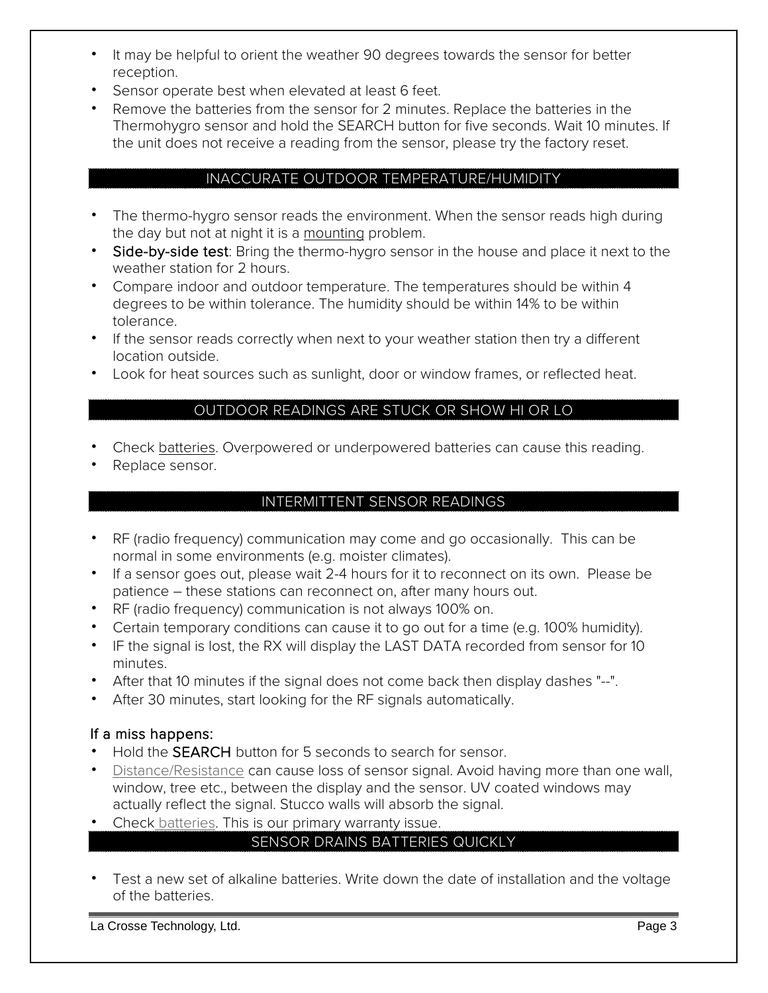- It may be helpful to orient the weather 90 degrees towards the sensor for better reception.
- Sensor operate best when elevated at least 6 feet.
- Remove the batteries from the sensor for 2 minutes. Replace the batteries in the Thermohygro sensor and hold the SEARCH button for five seconds. Wait 10 minutes. If the unit does not receive a reading from the sensor, please try the factory reset.

#### INACCURATE OUTDOOR TEMPERATURE/HUMIDITY

- <span id="page-2-0"></span>• The thermo-hygro sensor reads the environment. When the sensor reads high during the day but not at night it is a [mounting](#page-4-0) problem.
- Side-by-side test: Bring the thermo-hygro sensor in the house and place it next to the weather station for 2 hours.
- Compare indoor and outdoor temperature. The temperatures should be within 4 degrees to be within tolerance. The humidity should be within 14% to be within tolerance.
- If the sensor reads correctly when next to your weather station then try a different location outside.
- <span id="page-2-1"></span>• Look for heat sources such as sunlight, door or window frames, or reflected heat.

#### OUTDOOR READINGS ARE STUCK OR SHOW HI OR LO

- Check [batteries.](#page-0-1) Overpowered or underpowered batteries can cause this reading.
- <span id="page-2-2"></span>Replace sensor.

#### INTERMITTENT SENSOR READINGS

- RF (radio frequency) communication may come and go occasionally. This can be normal in some environments (e.g. moister climates).
- If a sensor goes out, please wait 2-4 hours for it to reconnect on its own. Please be patience – these stations can reconnect on, after many hours out.
- RF (radio frequency) communication is not always 100% on.
- Certain temporary conditions can cause it to go out for a time (e.g. 100% humidity).
- IF the signal is lost, the RX will display the LAST DATA recorded from sensor for 10 minutes.
- After that 10 minutes if the signal does not come back then display dashes "--".
- After 30 minutes, start looking for the RF signals automatically.

## If a miss happens:

- Hold the **SEARCH** button for 5 seconds to search for sensor.
- [Distance/Resistance](#page-5-0) can cause loss of sensor signal. Avoid having more than one wall, window, tree etc., between the display and the sensor. UV coated windows may actually reflect the signal. Stucco walls will absorb the signal.
- <span id="page-2-3"></span>• Check [batteries.](#page-0-1) This is our primary warranty issue.

## SENSOR DRAINS BATTERIES QUICKLY

• Test a new set of alkaline batteries. Write down the date of installation and the voltage of the batteries.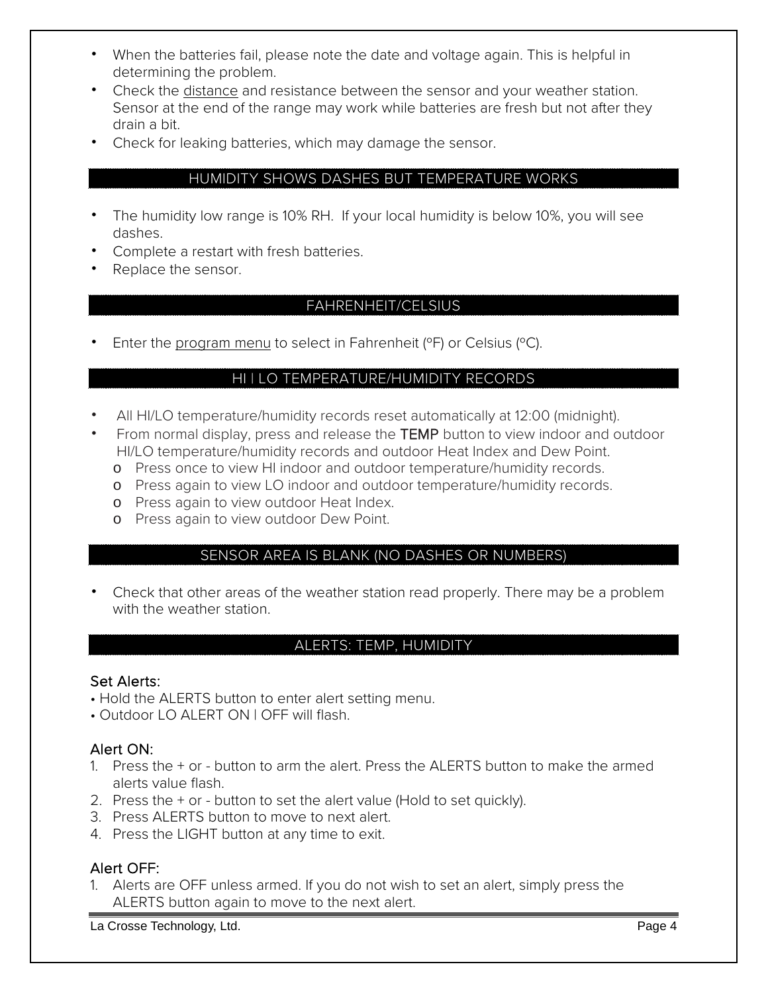- When the batteries fail, please note the date and voltage again. This is helpful in determining the problem.
- Check the [distance](#page-5-0) and resistance between the sensor and your weather station. Sensor at the end of the range may work while batteries are fresh but not after they drain a bit.
- <span id="page-3-0"></span>• Check for leaking batteries, which may damage the sensor.

#### HUMIDITY SHOWS DASHES BUT TEMPERATURE WORKS

- The humidity low range is 10% RH. If your local humidity is below 10%, you will see dashes.
- Complete a restart with fresh batteries.
- <span id="page-3-1"></span>• Replace the sensor.

#### FAHRENHEIT/CELSIUS

<span id="page-3-2"></span>• Enter the [program menu](#page-6-3) to select in Fahrenheit (°F) or Celsius (°C).

#### HI | LO TEMPERATURE/HUMIDITY RECORDS

- All HI/LO temperature/humidity records reset automatically at 12:00 (midnight).
- From normal display, press and release the TEMP button to view indoor and outdoor HI/LO temperature/humidity records and outdoor Heat Index and Dew Point.
	- o Press once to view HI indoor and outdoor temperature/humidity records.
	- o Press again to view LO indoor and outdoor temperature/humidity records.
	- o Press again to view outdoor Heat Index.
	- o Press again to view outdoor Dew Point.

## SENSOR AREA IS BLANK (NO DASHES OR NUMBERS)

<span id="page-3-3"></span>• Check that other areas of the weather station read properly. There may be a problem with the weather station

#### ALERTS: TEMP, HUMIDITY

#### <span id="page-3-4"></span>Set Alerts:

- Hold the ALERTS button to enter alert setting menu.
- Outdoor LO ALERT ON | OFF will flash.

#### Alert ON:

- 1. Press the + or button to arm the alert. Press the ALERTS button to make the armed alerts value flash.
- 2. Press the + or button to set the alert value (Hold to set quickly).
- 3. Press ALERTS button to move to next alert.
- 4. Press the LIGHT button at any time to exit.

#### Alert OFF:

1. Alerts are OFF unless armed. If you do not wish to set an alert, simply press the ALERTS button again to move to the next alert.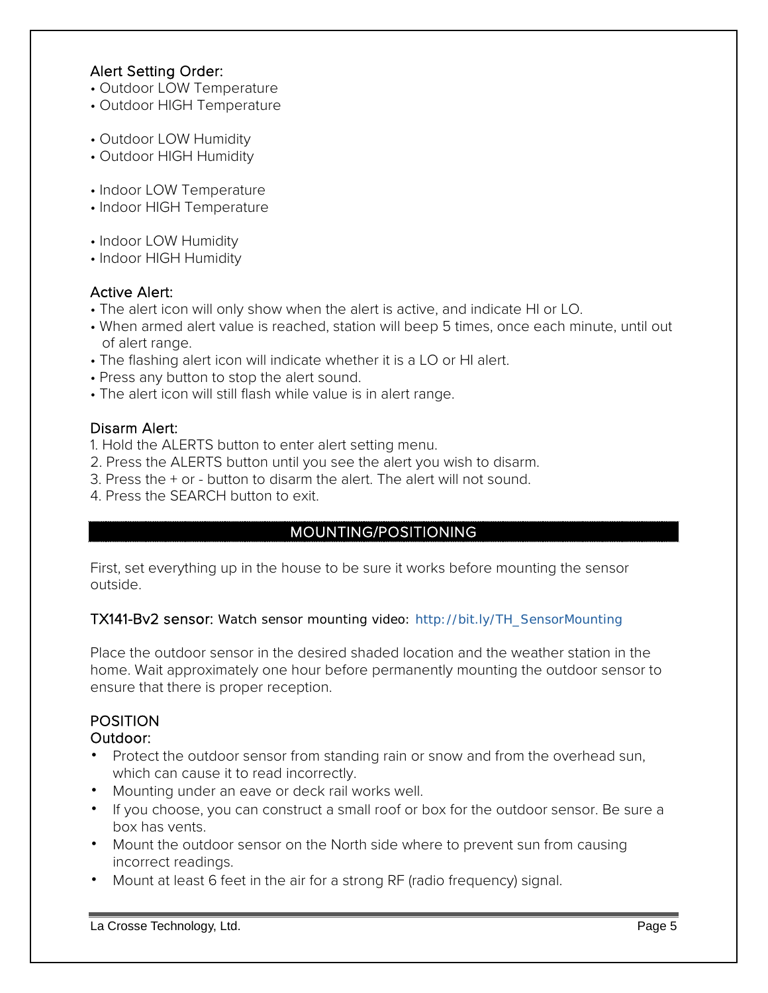## Alert Setting Order:

- Outdoor LOW Temperature
- Outdoor HIGH Temperature
- Outdoor LOW Humidity
- Outdoor HIGH Humidity
- Indoor LOW Temperature
- Indoor HIGH Temperature
- Indoor LOW Humidity
- Indoor HIGH Humidity

## Active Alert:

- The alert icon will only show when the alert is active, and indicate HI or LO.
- When armed alert value is reached, station will beep 5 times, once each minute, until out of alert range.
- The flashing alert icon will indicate whether it is a LO or HI alert.
- Press any button to stop the alert sound.
- The alert icon will still flash while value is in alert range.

## Disarm Alert:

- 1. Hold the ALERTS button to enter alert setting menu.
- 2. Press the ALERTS button until you see the alert you wish to disarm.
- 3. Press the + or button to disarm the alert. The alert will not sound.
- <span id="page-4-0"></span>4. Press the SEARCH button to exit.

# MOUNTING/POSITIONING

First, set everything up in the house to be sure it works before mounting the sensor outside.

## TX141-Bv2 sensor: Watch sensor mounting video: http://bit.ly/TH\_SensorMounting

Place the outdoor sensor in the desired shaded location and the weather station in the home. Wait approximately one hour before permanently mounting the outdoor sensor to ensure that there is proper reception.

# POSITION

# Outdoor:

- Protect the outdoor sensor from standing rain or snow and from the overhead sun, which can cause it to read incorrectly.
- Mounting under an eave or deck rail works well.
- If you choose, you can construct a small roof or box for the outdoor sensor. Be sure a box has vents.
- Mount the outdoor sensor on the North side where to prevent sun from causing incorrect readings.
- Mount at least 6 feet in the air for a strong RF (radio frequency) signal.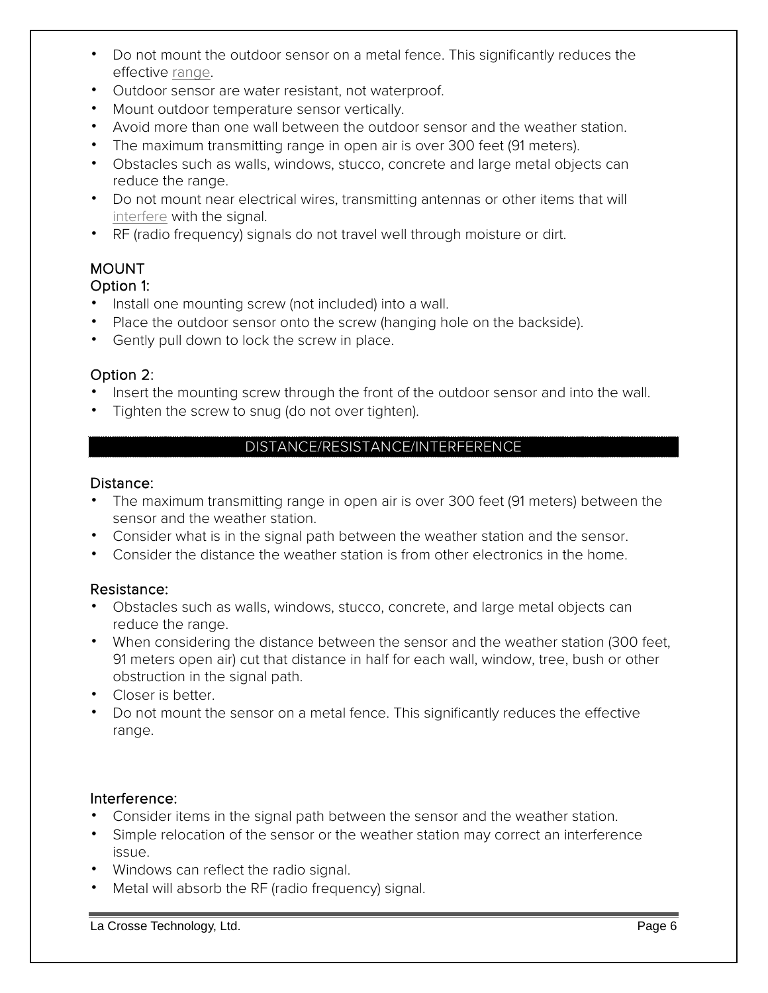- Do not mount the outdoor sensor on a metal fence. This significantly reduces the effective [range.](#page-5-0)
- Outdoor sensor are water resistant, not waterproof.
- Mount outdoor temperature sensor vertically.
- Avoid more than one wall between the outdoor sensor and the weather station.
- The maximum transmitting range in open air is over 300 feet (91 meters).
- Obstacles such as walls, windows, stucco, concrete and large metal objects can reduce the range.
- Do not mount near electrical wires, transmitting antennas or other items that will [interfere](#page-5-1) with the signal.
- RF (radio frequency) signals do not travel well through moisture or dirt.

#### MOUNT Option 1:

- Install one mounting screw (not included) into a wall.
- Place the outdoor sensor onto the screw (hanging hole on the backside).
- Gently pull down to lock the screw in place.

## Option 2:

- Insert the mounting screw through the front of the outdoor sensor and into the wall.
- <span id="page-5-0"></span>• Tighten the screw to snug (do not over tighten).

# DISTANCE/RESISTANCE/INTERFERENCE

#### Distance:

- The maximum transmitting range in open air is over 300 feet (91 meters) between the sensor and the weather station.
- Consider what is in the signal path between the weather station and the sensor.
- Consider the distance the weather station is from other electronics in the home.

## Resistance:

- Obstacles such as walls, windows, stucco, concrete, and large metal objects can reduce the range.
- When considering the distance between the sensor and the weather station (300 feet, 91 meters open air) cut that distance in half for each wall, window, tree, bush or other obstruction in the signal path.
- Closer is better.
- Do not mount the sensor on a metal fence. This significantly reduces the effective range.

## <span id="page-5-1"></span>Interference:

- Consider items in the signal path between the sensor and the weather station.
- Simple relocation of the sensor or the weather station may correct an interference issue.
- Windows can reflect the radio signal.
- Metal will absorb the RF (radio frequency) signal.

La Crosse Technology, Ltd. Page 6 and the control of the control of the control of the control of the control of the control of the control of the control of the control of the control of the control of the control of the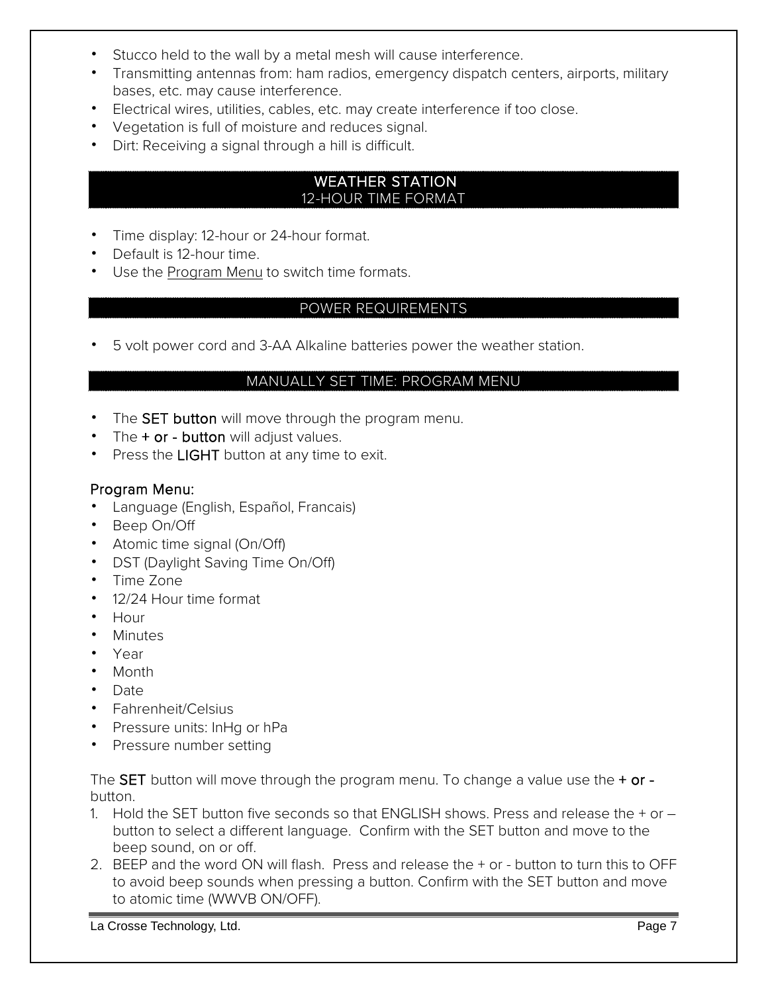- Stucco held to the wall by a metal mesh will cause interference.
- Transmitting antennas from: ham radios, emergency dispatch centers, airports, military bases, etc. may cause interference.
- Electrical wires, utilities, cables, etc. may create interference if too close.
- Vegetation is full of moisture and reduces signal.
- Dirt: Receiving a signal through a hill is difficult.

#### <span id="page-6-0"></span> WEATHER STATION 12-HOUR TIME FORMAT

- <span id="page-6-1"></span>• Time display: 12-hour or 24-hour format.
- Default is 12-hour time.
- <span id="page-6-2"></span>• Use the [Program Menu](#page-6-3) to switch time formats.

#### POWER REQUIREMENTS

<span id="page-6-3"></span>• 5 volt power cord and 3-AA Alkaline batteries power the weather station.

#### MANUALLY SET TIME: PROGRAM MENU

- The SET button will move through the program menu.
- The  $+$  or  $-$  button will adjust values.
- Press the LIGHT button at any time to exit.

#### Program Menu:

- Language (English, Español, Francais)
- Beep On/Off
- Atomic time signal (On/Off)
- DST (Daylight Saving Time On/Off)
- Time Zone
- 12/24 Hour time format
- Hour
- Minutes
- Year
- Month
- Date
- Fahrenheit/Celsius
- Pressure units: InHg or hPa
- Pressure number setting

The SET button will move through the program menu. To change a value use the  $+$  or button.

- 1. Hold the SET button five seconds so that ENGLISH shows. Press and release the + or button to select a different language. Confirm with the SET button and move to the beep sound, on or off.
- 2. BEEP and the word ON will flash. Press and release the + or button to turn this to OFF to avoid beep sounds when pressing a button. Confirm with the SET button and move to atomic time (WWVB ON/OFF).

La Crosse Technology, Ltd. Page 7 and the control of the control of the control of the control of the control of the control of the control of the control of the control of the control of the control of the control of the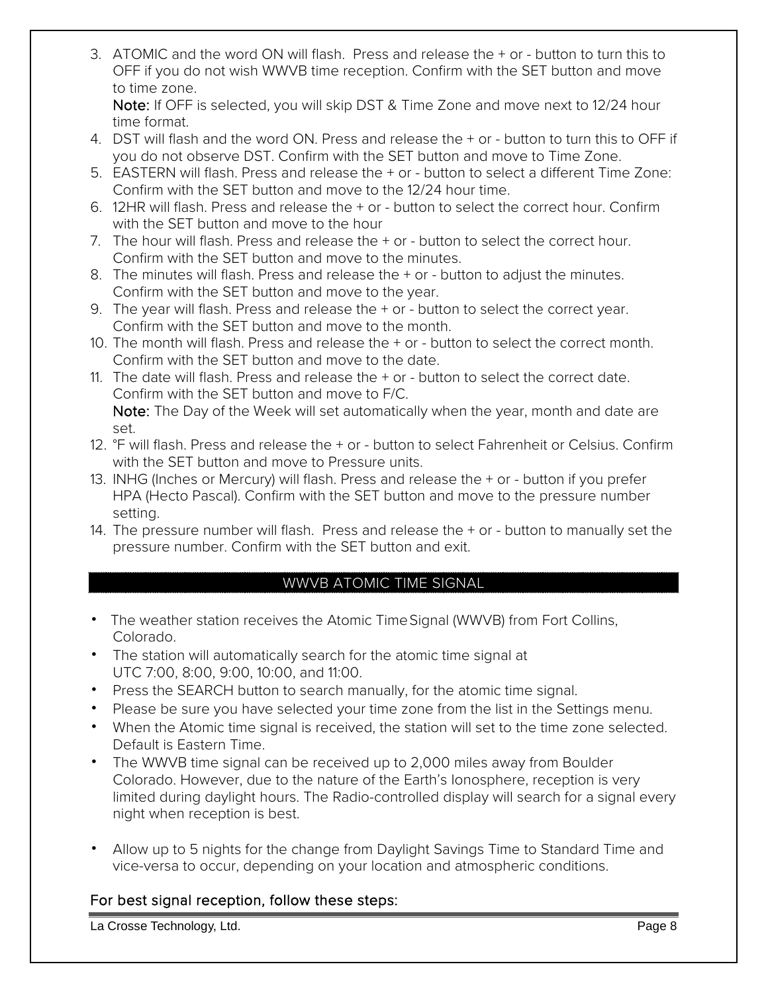3. ATOMIC and the word ON will flash. Press and release the + or - button to turn this to OFF if you do not wish WWVB time reception. Confirm with the SET button and move to time zone.

Note: If OFF is selected, you will skip DST & Time Zone and move next to 12/24 hour time format.

- 4. DST will flash and the word ON. Press and release the + or button to turn this to OFF if you do not observe DST. Confirm with the SET button and move to Time Zone.
- 5. EASTERN will flash. Press and release the + or button to select a different Time Zone: Confirm with the SET button and move to the 12/24 hour time.
- 6. 12HR will flash. Press and release the + or button to select the correct hour. Confirm with the SET button and move to the hour
- 7. The hour will flash. Press and release the + or button to select the correct hour. Confirm with the SET button and move to the minutes.
- 8. The minutes will flash. Press and release the + or button to adjust the minutes. Confirm with the SET button and move to the year.
- 9. The year will flash. Press and release the + or button to select the correct year. Confirm with the SET button and move to the month.
- 10. The month will flash. Press and release the + or button to select the correct month. Confirm with the SET button and move to the date.
- 11. The date will flash. Press and release the + or button to select the correct date. Confirm with the SET button and move to F/C. Note: The Day of the Week will set automatically when the year, month and date are set.
- 12. °F will flash. Press and release the + or button to select Fahrenheit or Celsius. Confirm with the SET button and move to Pressure units.
- 13. INHG (Inches or Mercury) will flash. Press and release the + or button if you prefer HPA (Hecto Pascal). Confirm with the SET button and move to the pressure number setting.
- 14. The pressure number will flash. Press and release the + or button to manually set the pressure number. Confirm with the SET button and exit.

## WWVB ATOMIC TIME SIGNAL

- <span id="page-7-0"></span>• The weather station receives the Atomic TimeSignal (WWVB) from Fort Collins, Colorado.
- The station will automatically search for the atomic time signal at UTC 7:00, 8:00, 9:00, 10:00, and 11:00.
- Press the SEARCH button to search manually, for the atomic time signal.
- Please be sure you have selected your time zone from the list in the Settings menu.
- When the Atomic time signal is received, the station will set to the time zone selected. Default is Eastern Time.
- The WWVB time signal can be received up to 2,000 miles away from Boulder Colorado. However, due to the nature of the Earth's Ionosphere, reception is very limited during daylight hours. The Radio-controlled display will search for a signal every night when reception is best.
- Allow up to 5 nights for the change from Daylight Savings Time to Standard Time and vice-versa to occur, depending on your location and atmospheric conditions.

# For best signal reception, follow these steps:

La Crosse Technology, Ltd. Page 8 and the control of the control of the control of the control of the control of the control of the control of the control of the control of the control of the control of the control of the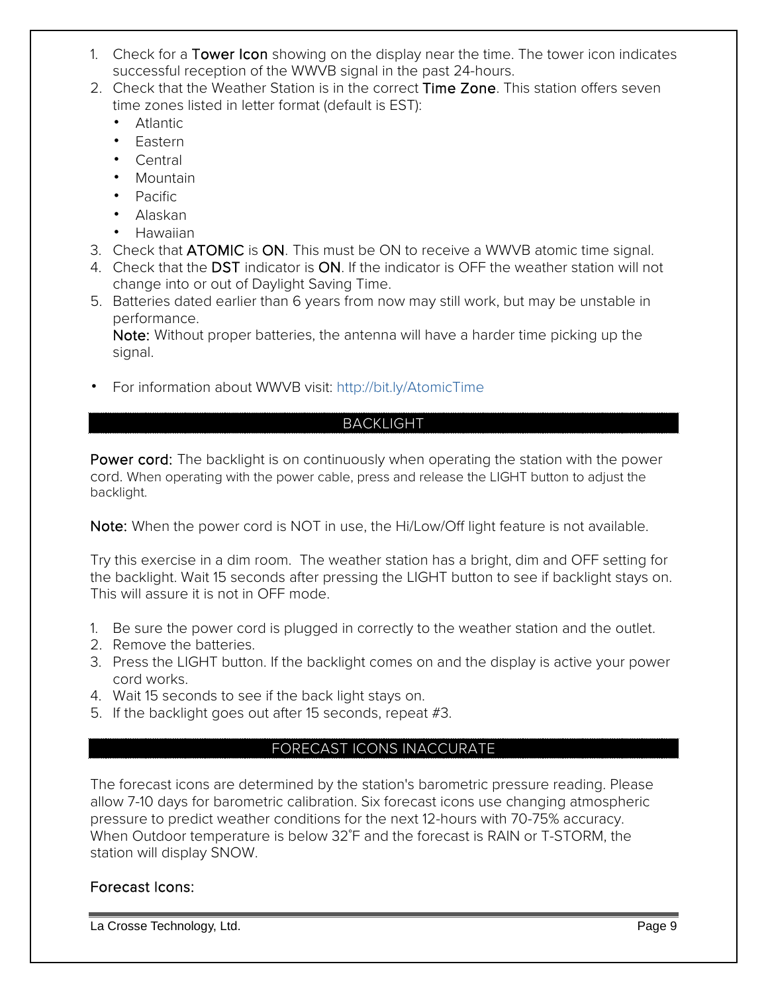- 1. Check for a Tower Icon showing on the display near the time. The tower icon indicates successful reception of the WWVB signal in the past 24-hours.
- 2. Check that the Weather Station is in the correct Time Zone. This station offers seven time zones listed in letter format (default is EST):
	- Atlantic
	- Eastern
	- Central
	- Mountain
	- Pacific
	- Alaskan
	- Hawaiian
- 3. Check that ATOMIC is ON. This must be ON to receive a WWVB atomic time signal.
- 4. Check that the DST indicator is ON. If the indicator is OFF the weather station will not change into or out of Daylight Saving Time.
- 5. Batteries dated earlier than 6 years from now may still work, but may be unstable in performance.

Note: Without proper batteries, the antenna will have a harder time picking up the signal.

<span id="page-8-0"></span>• For information about WWVB visit: http://bit.ly/AtomicTime

# BACKLIGHT

Power cord: The backlight is on continuously when operating the station with the power cord. When operating with the power cable, press and release the LIGHT button to adjust the backlight.

Note: When the power cord is NOT in use, the Hi/Low/Off light feature is not available.

Try this exercise in a dim room. The weather station has a bright, dim and OFF setting for the backlight. Wait 15 seconds after pressing the LIGHT button to see if backlight stays on. This will assure it is not in OFF mode.

- 1. Be sure the power cord is plugged in correctly to the weather station and the outlet.
- 2. Remove the batteries.
- 3. Press the LIGHT button. If the backlight comes on and the display is active your power cord works.
- 4. Wait 15 seconds to see if the back light stays on.
- <span id="page-8-1"></span>5. If the backlight goes out after 15 seconds, repeat #3.

## FORECAST ICONS INACCURATE

The forecast icons are determined by the station's barometric pressure reading. Please allow 7-10 days for barometric calibration. Six forecast icons use changing atmospheric pressure to predict weather conditions for the next 12-hours with 70-75% accuracy. When Outdoor temperature is below 32˚F and the forecast is RAIN or T-STORM, the station will display SNOW.

## Forecast Icons: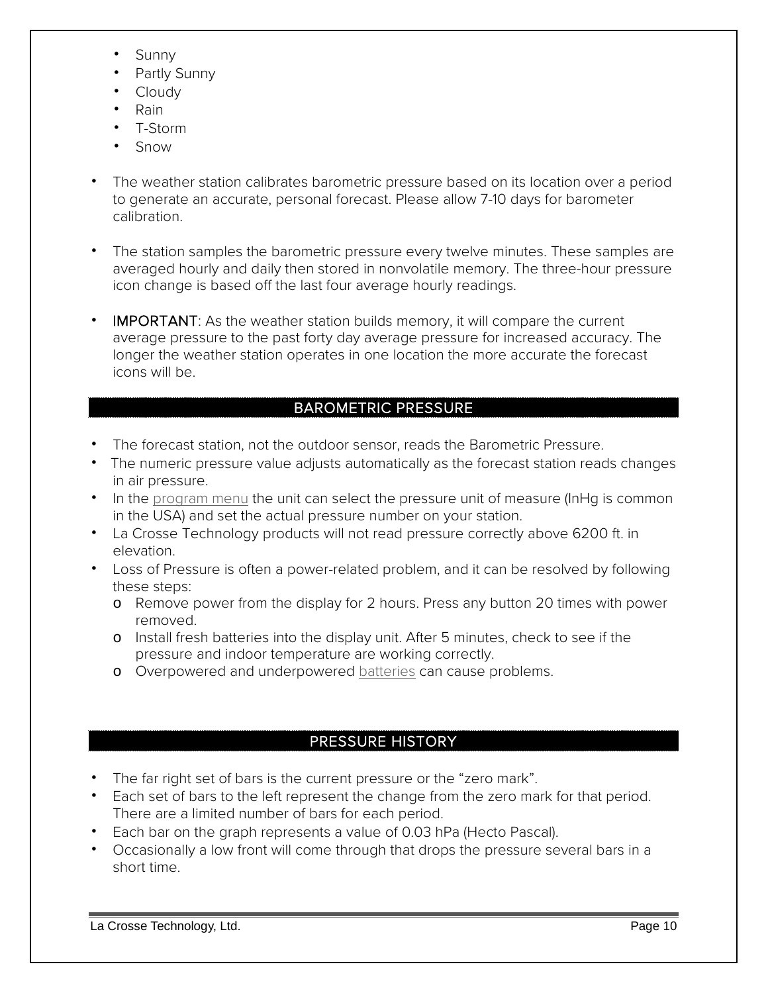- Sunny
- Partly Sunny
- Cloudy
- Rain
- T-Storm
- Snow
- The weather station calibrates barometric pressure based on its location over a period to generate an accurate, personal forecast. Please allow 7-10 days for barometer calibration.
- The station samples the barometric pressure every twelve minutes. These samples are averaged hourly and daily then stored in nonvolatile memory. The three-hour pressure icon change is based off the last four average hourly readings.
- IMPORTANT: As the weather station builds memory, it will compare the current average pressure to the past forty day average pressure for increased accuracy. The longer the weather station operates in one location the more accurate the forecast icons will be.

# BAROMETRIC PRESSURE

- <span id="page-9-0"></span>• The forecast station, not the outdoor sensor, reads the Barometric Pressure.
- The numeric pressure value adjusts automatically as the forecast station reads changes in air pressure.
- In the [program menu](#page-6-3) the unit can select the pressure unit of measure (InHg is common in the USA) and set the actual pressure number on your station.
- La Crosse Technology products will not read pressure correctly above 6200 ft. in elevation.
- Loss of Pressure is often a power-related problem, and it can be resolved by following these steps:
	- o Remove power from the display for 2 hours. Press any button 20 times with power removed.
	- o Install fresh batteries into the display unit. After 5 minutes, check to see if the pressure and indoor temperature are working correctly.
	- o Overpowered and underpowered [batteries](#page-0-1) can cause problems.

## PRESSURE HISTORY

- <span id="page-9-1"></span>• The far right set of bars is the current pressure or the "zero mark".
- Each set of bars to the left represent the change from the zero mark for that period. There are a limited number of bars for each period.
- Each bar on the graph represents a value of 0.03 hPa (Hecto Pascal).
- Occasionally a low front will come through that drops the pressure several bars in a short time.